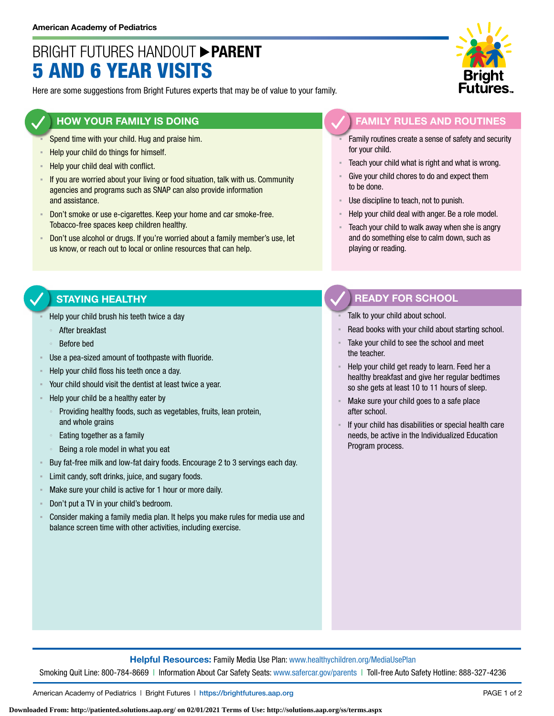# BRIGHT FUTURES HANDOUT **PARENT** 5 AND 6 YEAR VISITS

Here are some suggestions from Bright Futures experts that may be of value to your family.

### **HOW YOUR FAMILY IS DOING**

- Spend time with your child. Hug and praise him.
- **EXECT** Help your child do things for himself.
- Help your child deal with conflict.
- If you are worried about your living or food situation, talk with us. Community agencies and programs such as SNAP can also provide information and assistance.
- Don't smoke or use e-cigarettes. Keep your home and car smoke-free. Tobacco-free spaces keep children healthy.
- Don't use alcohol or drugs. If you're worried about a family member's use, let us know, or reach out to local or online resources that can help.

#### **FAMILY RULES AND ROUTINES**

- Family routines create a sense of safety and security for your child.
- Teach your child what is right and what is wrong.
- Give your child chores to do and expect them to be done.
- Use discipline to teach, not to punish.
- Help your child deal with anger. Be a role model.
- Teach your child to walk away when she is angry and do something else to calm down, such as playing or reading.

#### **STAYING HEALTHY**

- Help your child brush his teeth twice a day
	- After breakfast
	- Before bed
- Use a pea-sized amount of toothpaste with fluoride.
- Help your child floss his teeth once a day.
- Your child should visit the dentist at least twice a year.
- Help your child be a healthy eater by
	- Providing healthy foods, such as vegetables, fruits, lean protein, and whole grains
	- Eating together as a family
	- Being a role model in what you eat
- Buy fat-free milk and low-fat dairy foods. Encourage 2 to 3 servings each day.
- Limit candy, soft drinks, juice, and sugary foods.
- Make sure your child is active for 1 hour or more daily.
- Don't put a TV in your child's bedroom.
- Consider making a family media plan. It helps you make rules for media use and balance screen time with other activities, including exercise.

## **READY FOR SCHOOL**

- Talk to your child about school.
- Read books with your child about starting school.
- Take your child to see the school and meet the teacher.
- Help your child get ready to learn. Feed her a healthy breakfast and give her regular bedtimes so she gets at least 10 to 11 hours of sleep.
- Make sure your child goes to a safe place after school.
- If your child has disabilities or special health care needs, be active in the Individualized Education Program process.

**Helpful Resources:** Family Media Use Plan: [www.healthychildren.org/MediaUsePlan](https://www.healthychildren.org/English/media/Pages/default.aspx)

Smoking Quit Line: 800-784-8669 | Information About Car Safety Seats: [www.safercar.gov/parents](https://www.nhtsa.gov/parents-and-caregivers) | Toll-free Auto Safety Hotline: 888-327-4236

American Academy of Pediatrics | Bright Futures | https://[brightfutures.aap.org](https://brightfutures.aap.org/Pages/default.aspx) PAGE 1 of 2